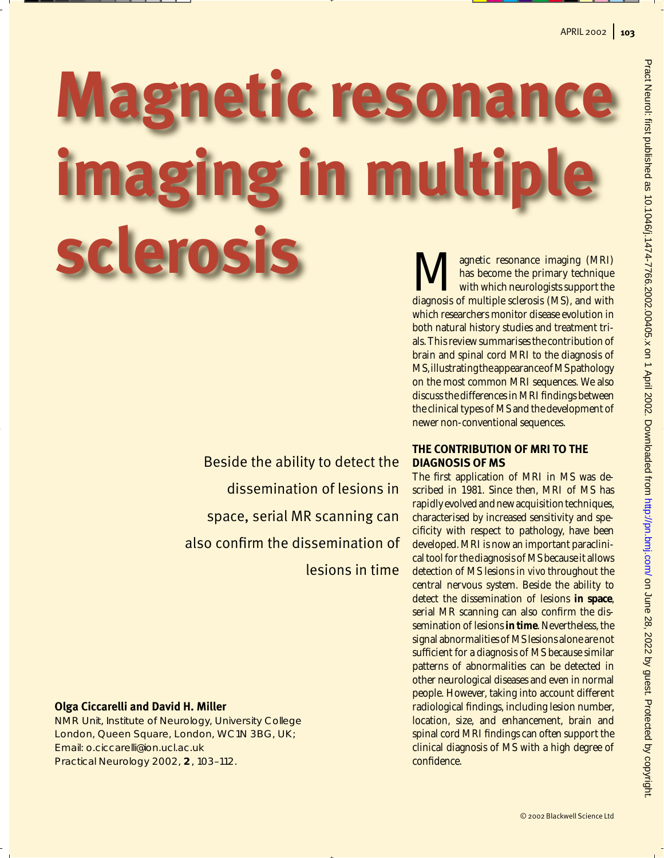Pract Neurol: first published as 10.1046/j.1474-7766.2002.00405.x on 1 April 2002. Downloaded from http://pn.bmj.com/ on June

28,

2022 by guest. Protected by

# **Magnetic resonance imaging in multiple sclerosis**<br> **scale of the school of the school of the school of the school of the school of the school of the school of the school of the school of the school of the school of the school of the school of the school of the**

has become the primary technique with which neurologists support the diagnosis of multiple sclerosis (MS), and with which researchers monitor disease evolution in both natural history studies and treatment trials. This review summarises the contribution of brain and spinal cord MRI to the diagnosis of MS, illustrating the appearance of MS pathology on the most common MRI sequences. We also discuss the differences in MRI findings between the clinical types of MS and the development of newer non-conventional sequences.

# **THE CONTRIBUTION OF MRI TO THE DIAGNOSIS OF MS**

The first application of MRI in MS was described in 1981. Since then, MRI of MS has rapidly evolved and new acquisition techniques, characterised by increased sensitivity and specificity with respect to pathology, have been developed. MRI is now an important paraclinical tool for the diagnosis of MS because it allows detection of MS lesions *in vivo* throughout the central nervous system. Beside the ability to detect the dissemination of lesions **in space**, serial MR scanning can also confirm the dissemination of lesions **in time**. Nevertheless, the signal abnormalities of MS lesions alone are not sufficient for a diagnosis of MS because similar patterns of abnormalities can be detected in other neurological diseases and even in normal people. However, taking into account different radiological findings, including lesion number, location, size, and enhancement, brain and spinal cord MRI findings can often support the clinical diagnosis of MS with a high degree of



# **Olga Ciccarelli and David H. Miller**

NMR Unit, Institute of Neurology, University College London, Queen Square, London, WC1N 3BG, UK; Email: o.ciccarelli@ion.ucl.ac.uk

Beside the ability to detect the dissemination of lesions in space, serial MR scanning can also confirm the dissemination of lesions in time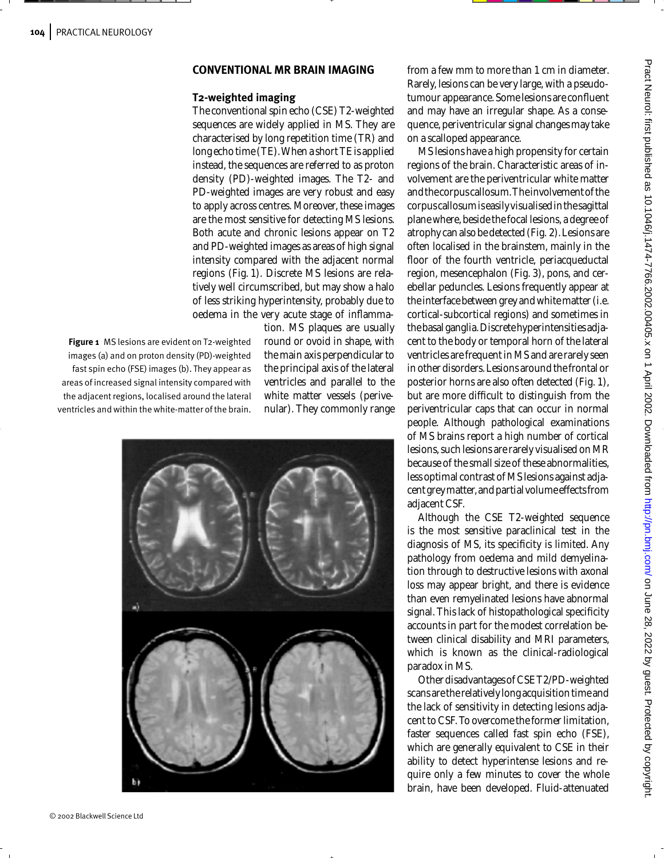104 | PRACTICAL NEUROLOGY

© 2002 Blackwell Science Ltd

 $\frac{\pi}{2}$  .

The conventional spin echo (CSE) T2-weighted sequences are widely applied in MS. They are characterised by long repetition time (TR) and long echo time (TE). When a short TE is applied instead, the sequences are referred to as proton density (PD)-weighted images. The T2- and PD-weighted images are very robust and easy to apply across centres. Moreover, these images are the most sensitive for detecting MS lesions. Both acute and chronic lesions appear on T2 and PD-weighted images as areas of high signal intensity compared with the adjacent normal regions (Fig. 1). Discrete MS lesions are relatively well circumscribed, but may show a halo of less striking hyperintensity, probably due to oedema in the very acute stage of inflamma-

#### **CONVENTIONAL MR BRAIN IMAGING**

#### **T2-weighted imaging**

tion. MS plaques are usually round or ovoid in shape, with the main axis perpendicular to the principal axis of the lateral ventricles and parallel to the white matter vessels (perivenular). They commonly range



from a few mm to more than 1 cm in diameter. Rarely, lesions can be very large, with a pseudotumour appearance. Some lesions are confluent and may have an irregular shape. As a consequence, periventricular signal changes may take on a scalloped appearance.

MS lesions have a high propensity for certain regions of the brain. Characteristic areas of involvement are the periventricular white matter and the corpus callosum. The involvement of the corpus callosum is easily visualised in the sagittal plane where, beside the focal lesions, a degree of atrophy can also be detected (Fig. 2). Lesions are often localised in the brainstem, mainly in the floor of the fourth ventricle, periacqueductal region, mesencephalon (Fig. 3), pons, and cerebellar peduncles. Lesion[s fre](http://pn.bmj.com/)quently appear at the interface between grey and white matter (i.e. cortical-subcortical regions) and sometimes in the basal ganglia. Discrete hyperintensities adjacent to the body or temporal horn of the lateral ventricles are frequent in MS and are rarely seen in other disorders. Lesions around the frontal or posterior horns are also often detected (Fig. 1), but are more difficult to distinguish from the periventricular caps that can occur in normal people. Although pathological examinations of MS brains report a high number of cortical lesions, such lesions are rarely visualised on MR because of the small size of these abnormalities, less optimal contrast of MS lesions against adjacent grey matter, and partial volume effects from adjacent CSF.

Although the CSE T2-weighted sequence is the most sensitive paraclinical test in the diagnosis of MS, its specificity is limited. Any pathology from oedema and mild demyelination through to destructive lesions with axonal loss may appear bright, and there is evidence than even remyelinated lesions have abnormal signal. This lack of histopathological specificity accounts in part for the modest correlation between clinical disability and MRI parameters, which is known as the clinical-radiological paradox in MS.

Other disadvantages of CSE T2/PD-weighted scans are the relatively long acquisition time and the lack of sensitivity in detecting lesions adjacent to CSF. To overcome the former limitation, faster sequences called fast spin echo (FSE), which are generally equivalent to CSE in their ability to detect hyperintense lesions and require only a few minutes to cover the whole brain, have been developed. Fluid-attenuated

 $\hat{\Gamma}$  .

**Figure 1** MS lesions are evident on T2-weighted images (a) and on proton density (PD)-weighted fast spin echo (FSE) images (b). They appear as areas of increased signal intensity compared with the adjacent regions, localised around the lateral ventricles and within the white-matter of the brain.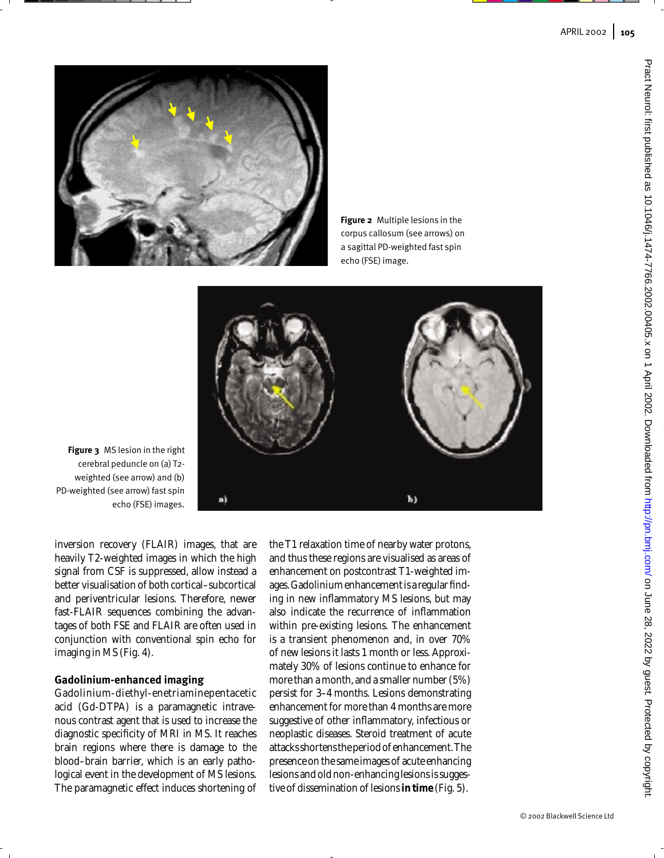

© 2002 Blackwell Science Ltd

 $\frac{1}{1-\alpha}$ 

inversion recovery (FLAIR) images, that are heavily T2-weighted images in which the high signal from CSF is suppressed, allow instead a better visualisation of both cortical–subcortical and periventricular lesions. Therefore, newer fast-FLAIR sequences combining the advantages of both FSE and FLAIR are often used in conjunction with conventional spin echo for imaging in MS (Fig. 4).

### **Gadolinium-enhanced imaging**

 $\frac{\pi}{2}$  .

Gadolinium-diethyl-enetriaminepentacetic acid (Gd-DTPA) is a paramagnetic intravenous contrast agent that is used to increase the diagnostic specificity of MRI in MS. It reaches brain regions where there is damage to the blood–brain barrier, which is an early patho-presence on the same images of acute enhancing logical event in the development of MS lesions. lesions and old non-enhancing lesions is sugges-The paramagnetic effect induces shortening of tive of dissemination of lesions **in time** (Fig. 5). attacks shortens the period of enhancement. The

the T1 relaxation time of nearby water protons, and thus these regions are visualised as areas of enhancement on postcontrast T1-weighted images. Gadolinium enhancement is a regular finding in new inflammatory MS lesions, but may also indicate the recurrence of inflammation within pre-existing lesions. The enhancement is a transient phenomenon and, in over 70% of new lesions it lasts 1 month or less. Approximately 30% of lesions continue to enhance for more than a month, and a smaller number (5%) persist for 3–4 months. Lesions demonstrating enhancement for more than 4 months are more suggestive of other inflammatory, infectious or neoplastic diseases. Steroid treatment of acute

**Figure 2** Multiple lesions in the corpus callosum (see arrows) on a sagittal PD-weighted fast spin echo (FSE) image.



**Figure 3** MS lesion in the right cerebral peduncle on (a) T2 weighted (see arrow) and (b) PD-weighted (see arrow) fast spin echo (FSE) images.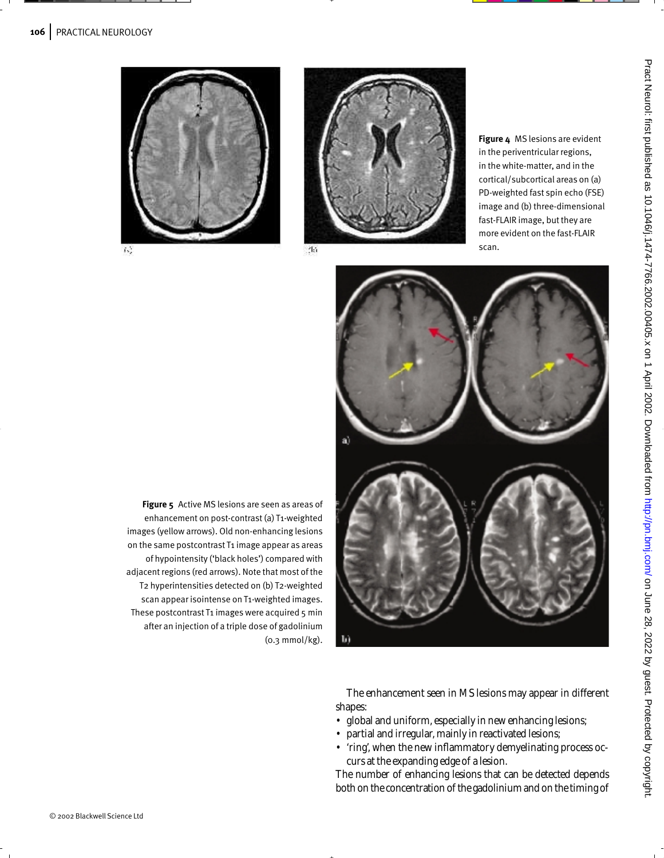$\frac{\pi}{2}$  .

- global and uniform, especially in new enhancing lesions;
- partial and irregular, mainly in reactivated lesions;
- 'ring', when the new inflammatory demyelinating process oc-

The enhancement seen in MS lesions may appear in different shapes:

curs at the expanding edge of a lesion. The number of enhancing lesions that can be detected depends both on the concentration of the gadolinium and on the timing of copyright.

 $\frac{1}{1-\delta}$ 

# 106 | PRACTICAL NEUROLOGY





**Figure 4** MS lesions are evident in the periventricular regions, in the white-matter, and in the cortical/subcortical areas on (a) PD-weighted fast spin echo (FSE) image and (b) three-dimensional fast-FLAIR image, but they are more evident on the fast-FLAIR scan.



**Figure 5** Active MS lesions are seen as areas of enhancement on post-contrast (a) T1-weighted images (yellow arrows). Old non-enhancing lesions on the same postcontrast T1 image appear as areas of hypointensity ('black holes') compared with adjacent regions (red arrows). Note that most of the T2 hyperintensities detected on (b) T2-weighted scan appear isointense on T1-weighted images. These postcontrast T1 images were acquired 5 min after an injection of a triple dose of gadolinium (0.3 mmol/kg).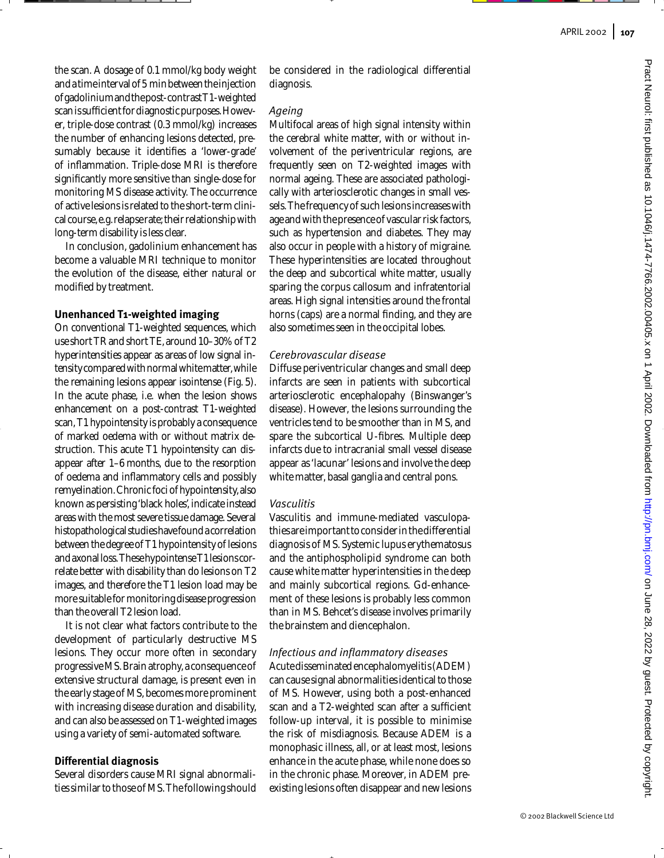© 2002 Blackwell Science Ltd

In conclusion, gadolinium enhancement has become a valuable MRI technique to monitor the evolution of the disease, either natural or modified by treatment.

the scan. A dosage of 0.1 mmol/kg body weight and a time interval of 5 min between the injection of gadolinium and the post-contrast T1-weighted scan is sufficient for diagnostic purposes. However, triple-dose contrast (0.3 mmol/kg) increases the number of enhancing lesions detected, presumably because it identifies a 'lower-grade' of inflammation. Triple-dose MRI is therefore significantly more sensitive than single-dose for monitoring MS disease activity. The occurrence of active lesions is related to the short-term clinical course, e.g. relapse rate; their relationship with long-term disability is less clear.

#### **Unenhanced T1-weighted imaging**

On conventional T1-weighted sequences, which use short TR and short TE, around 10–30% of T2 hyperintensities appear as areas of low signal intensity compared with normal white matter, while the remaining lesions appear isointense (Fig. 5). In the acute phase, i.e. when the lesion shows enhancement on a post-contrast T1-weighted scan, T1 hypointensity is probably a consequence of marked oedema with or without matrix destruction. This acute T1 hypointensity can disappear after 1–6 months, due to the resorption of oedema and inflammatory cells and possibly remyelination. Chronic foci of hypointensity, also known as persisting 'black holes', indicate instead areas with the most severe tissue damage. Several histopathological studies have found a correlation between the degree of T1 hypointensity of lesions and axonal loss. These hypointense T1 lesions correlate better with disability than do lesions on T2 images, and therefore the T1 lesion load may be more suitable for monitoring disease progression than the overall T2 lesion load.

It is not clear what factors contribute to the development of particularly destructive MS lesions. They occur more often in secondary progressive MS. Brain atrophy, a consequence of extensive structural damage, is present even in the early stage of MS, becomes more prominent with increasing disease duration and disability, and can also be assessed on T1-weighted images using a variety of semi-automated software.

#### **Differential diagnosis**

 $\mathbb{Z}_{\geq 1}$ 

Several disorders cause MRI signal abnormali-

 $\frac{1}{1-\alpha}$ 

28, 2022 by guest. Protected by

Pract Neurol: first published as 10.1046/j.1474-7766.2002.00405.x on 1 April 2002. Downloaded from http://pn.bmj.com/ on June

be considered in the radiological differential diagnosis.

#### *Ageing*

Multifocal areas of high signal intensity within the cerebral white matter, with or without involvement of the periventricular regions, are frequently seen on T2-weighted images with normal ageing. These are associated pathologically with arteriosclerotic changes in small vessels. The frequency of such lesions increases with age and with the presence of vascular risk factors, such as hypertension and diabetes. They may also occur in people with a history of migraine. These hyperintensities are located throughout the deep and subcortical white matter, usually sparing the corpus callosum and infratentorial areas. High signal intensities around the frontal horns (caps) are a normal finding, and they are also sometimes seen in the occipital lobes.

#### *Cerebrovascular disease*

ties similar to those of MS. The following should existing lesions often disappear and new lesions *Infectious and infl ammatory diseases*  Acute disseminated encephalomyelitis (ADEM) can cause signal abnormalities identical to those of MS. However, using both a post-enhanced scan and a T2-weighted scan after a sufficient follow-up interval, it is possible to minimise the risk of misdiagnosis. Because ADEM is a monophasic illness, all, or at least most, lesions enhance in the acute phase, while none does so in the chronic phase. Moreover, in ADEM pre-

Diffuse periventricular changes and small deep infarcts are seen in patients with subcortical arteriosclerotic encephalopahy (Binswanger's disease). However, the lesions surrounding the ventricles tend to be smoother than in MS, and spare the subcortical U-fibres. Multiple deep infarcts due to intracranial small vessel disease appear as 'lacunar' lesions and involve the deep white matter, basal ganglia and central pons.

#### *Vasculitis*

Vasculitis and immune-mediated vasculopathies are important to consider in the differential diagnosis of MS. Systemic lupus erythematosus and the antiphospholipid syndrome can both cause white matter hyperintensities in the deep and mainly subcortical regions. Gd-enhancement of these lesions is probably less common than in MS. Behcet's disease involves primarily the brainstem and diencephalon.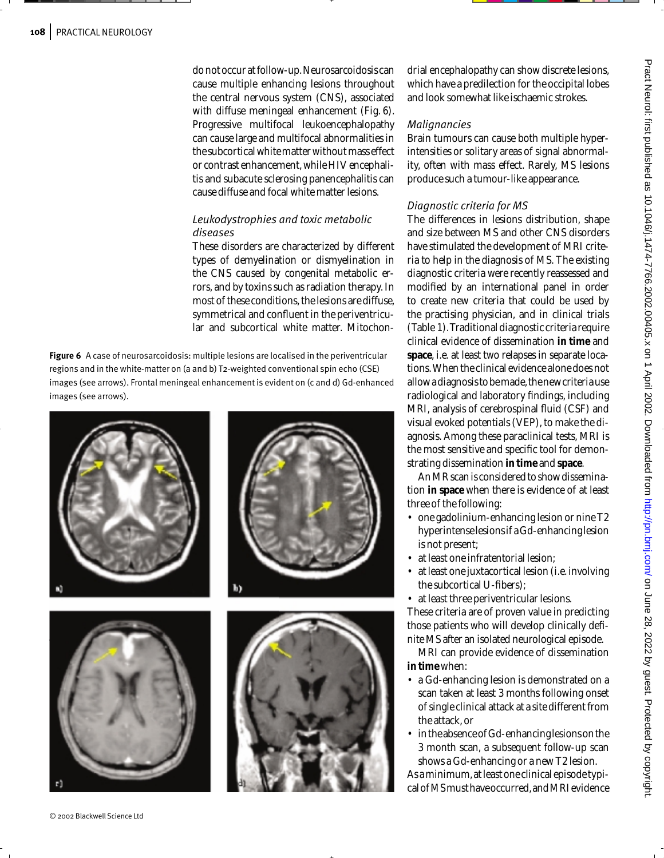$\frac{\pi}{2}$  .

# 108 | PRACTICAL NEUROLOGY

do not occur at follow-up. Neurosarcoidosis can cause multiple enhancing lesions throughout the central nervous system (CNS), associated with diffuse meningeal enhancement (Fig. 6). Progressive multifocal leukoencephalopathy can cause large and multifocal abnormalities in the subcortical white matter without mass effect or contrast enhancement, while HIV encephalitis and subacute sclerosing panencephalitis can cause diffuse and focal white matter lesions.

#### *Leukodystrophies and toxic metabolic diseases*

These disorders are characterized by different types of demyelination or dismyelination in the CNS caused by congenital metabolic errors, and by toxins such as radiation therapy. In most of these conditions, the lesions are diffuse, symmetrical and confluent in the periventricular and subcortical white matter. Mitochondrial encephalopathy can show discrete lesions, which have a predilection for the occipital lobes and look somewhat like ischaemic strokes.

#### *Malignancies*

Brain tumours can cause both multiple hyperintensities or solitary areas of signal abnormality, often with mass effect. Rarely, MS lesions produce such a tumour-like appearance.

### *Diagnostic criteria for MS*

The differences in lesions distribution, shape and size between MS and other CNS disorders have stimulated the development of MRI criteria to help in the diagnosis of MS. The existing diagnostic criteria were recently reassessed and modified by an internat[ion](http://pn.bmj.com/)al panel in order to create new criteria that could be used by the practising physician, and in clinical trials (Table 1). Traditional diagnostic criteria require clinical evidence of dissemination **in time** and **space**, i.e. at least two relapses in separate locations. When the clinical evidence alone does not allow a diagnosis to be made, the new criteria use radiological and laboratory findings, including MRI, analysis of cerebrospinal fluid (CSF) and visual evoked potentials (VEP), to make the diagnosis. Among these paraclinical tests, MRI is the most sensitive and specific tool for demonstrating dissemination **in time** and **space**.

An MR scan is considered to show dissemination **in space** when there is evidence of at least three of the following:

- one gadolinium-enhancing lesion or nine T2 hyperintense lesions if a Gd-enhancing lesion is not present;
- at least one infratentorial lesion;
- at least one juxtacortical lesion (i.e. involving the subcortical U-fibers);
- at least three periventricular lesions.

These criteria are of proven value in predicting those patients who will develop clinically definite MS after an isolated neurological episode.

MRI can provide evidence of dissemination **in time** when:

- a Gd-enhancing lesion is demonstrated on a scan taken at least 3 months following onset of single clinical attack at a site different from the attack, or
- in the absence of Gd-enhancing lesions on the 3 month scan, a subsequent follow-up scan

shows a Gd-enhancing or a new T2 lesion. As a minimum, at least one clinical episode typical of MS must have occurred, and MRI evidence copyright.

 $\frac{1}{1-\alpha}$ 

**Figure 6** A case of neurosarcoidosis: multiple lesions are localised in the periventricular regions and in the white-matter on (a and b) T2-weighted conventional spin echo (CSE) images (see arrows). Frontal meningeal enhancement is evident on (c and d) Gd-enhanced images (see arrows).

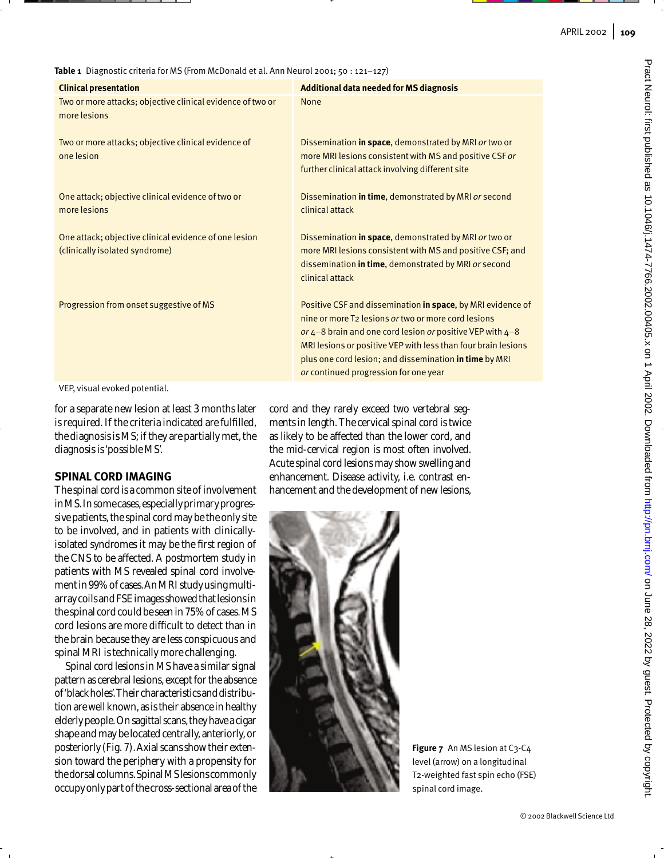© 2002 Blackwell Science Ltd

 $\frac{1}{1-\alpha}$ 

for a separate new lesion at least 3 months later is required. If the criteria indicated are fulfilled, the diagnosis is MS; if they are partially met, the diagnosis is 'possible MS'.

#### **SPINAL CORD IMAGING**

The spinal cord is a common site of involvement in MS. In some cases, especially primary progressive patients, the spinal cord may be the only site to be involved, and in patients with clinicallyisolated syndromes it may be the first region of the CNS to be affected. A postmortem study in patients with MS revealed spinal cord involvement in 99% of cases. An MRI study using multiarray coils and FSE images showed that lesions in the spinal cord could be seen in 75% of cases. MS cord lesions are more difficult to detect than in the brain because they are less conspicuous and spinal MRI is technically more challenging.

Spinal cord lesions in MS have a similar signal pattern as cerebral lesions, except for the absence of 'black holes'. Their characteristics and distribution are well known, as is their absence in healthy elderly people. On sagittal scans, they have a cigar shape and may be located centrally, anteriorly, or posteriorly (Fig. 7). Axial scans show their extension toward the periphery with a propensity for the dorsal columns. Spinal MS lesions commonly occupy only part of the cross-sectional area of the

 $\frac{\pi}{2}$  .

cord and they rarely exceed two vertebral segments in length. The cervical spinal cord is twice as likely to be affected than the lower cord, and the mid-cervical region is most often involved. Acute spinal cord lesions may show swelling and enhancement. Disease activity, i.e. contrast enhancement and the development of new lesions,

| Table 1 Diagnostic criteria for MS (From McDonald et al. Ann Neurol 2001; 50: 121–127)  |                                                                                                                                                                                                                                                                                                                                                         |
|-----------------------------------------------------------------------------------------|---------------------------------------------------------------------------------------------------------------------------------------------------------------------------------------------------------------------------------------------------------------------------------------------------------------------------------------------------------|
| <b>Clinical presentation</b>                                                            | Additional data needed for MS diagnosis                                                                                                                                                                                                                                                                                                                 |
| Two or more attacks; objective clinical evidence of two or<br>more lesions              | <b>None</b>                                                                                                                                                                                                                                                                                                                                             |
| Two or more attacks; objective clinical evidence of<br>one lesion                       | Dissemination in space, demonstrated by MRI or two or<br>more MRI lesions consistent with MS and positive CSF or<br>further clinical attack involving different site                                                                                                                                                                                    |
| One attack; objective clinical evidence of two or<br>more lesions                       | Dissemination in time, demonstrated by MRI or second<br>clinical attack                                                                                                                                                                                                                                                                                 |
| One attack; objective clinical evidence of one lesion<br>(clinically isolated syndrome) | Dissemination in space, demonstrated by MRI or two or<br>more MRI lesions consistent with MS and positive CSF; and<br>dissemination in time, demonstrated by MRI or second<br>clinical attack                                                                                                                                                           |
| Progression from onset suggestive of MS                                                 | Positive CSF and dissemination in space, by MRI evidence of<br>nine or more T2 lesions or two or more cord lesions<br>or $4-8$ brain and one cord lesion or positive VEP with $4-8$<br>MRI lesions or positive VEP with less than four brain lesions<br>plus one cord lesion; and dissemination in time by MRI<br>or continued progression for one year |
| VED vicual ovaked notantial                                                             |                                                                                                                                                                                                                                                                                                                                                         |

#### VEP, visual evoked potential.



Pract Neurol: first published as 10.1046/j.1474-7766.2002.00405.x on 1 April 2002. Downloaded from http://pn.bmj.com/ on June 28, 2022 by guest. Protected by http://pn.bmj.com/ Protected by 2022 by 2022 by copyright. Http://pn/thp://pn/bp//pn/bp//pn/bp//pn/bp//pn/bp//pn/bp//pn/bp//pn/bp//pn/bp//pn/bp//pn/bp//pn/bp//pn/bp//pn/bp//pn/bp//pn/bp//pn/bp//pn/bp//pn/bp//pn/bp//pn/bp//

level (arrow) on a longitudinal T2-weighted fast spin echo (FSE) spinal cord image.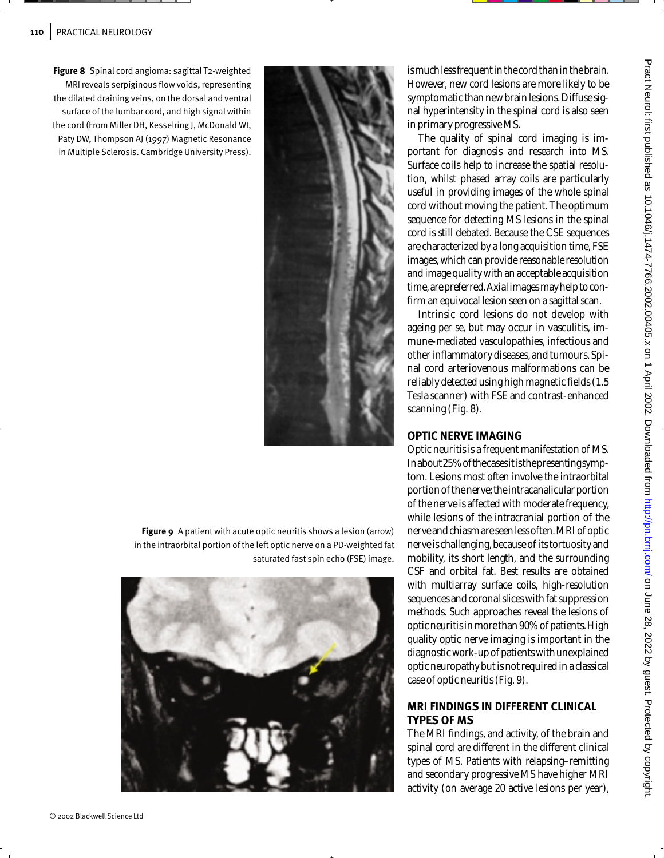$\frac{\pi}{2}$  .

The quality of spinal cord imaging is important for diagnosis and research into MS. Surface coils help to increase the spatial resolution, whilst phased array coils are particularly useful in providing images of the whole spinal cord without moving the patient. The optimum sequence for detecting MS lesions in the spinal cord is still debated. Because the CSE sequences are characterized by a long acquisition time, FSE images, which can provide reasonable resolution and image quality with an acceptable acquisition time, are preferred. Axial i[mag](http://pn.bmj.com/)es may help to confirm an equivocal lesion seen on a sagittal scan.

is much less frequent in the cord than in the brain. However, new cord lesions are more likely to be symptomatic than new brain lesions. Diffuse signal hyperintensity in the spinal cord is also seen in primary progressive MS.

Intrinsic cord lesions do not develop with ageing *per se*, but may occur in vasculitis, immune-mediated vasculopathies, infectious and other inflammatory diseases, and tumours. Spinal cord arteriovenous malformations can be reliably detected using high magnetic fields (1.5 Tesla scanner) with FSE and contrast-enhanced scanning (Fig. 8).

The MRI findings, and activity, of the brain and spinal cord are different in the different clinical



## **OPTIC NERVE IMAGING**

#### PRACTICAL NEUROLOGY **110**

Optic neuritis is a frequent manifestation of MS. In about 25% of the cases it is the presenting symptom. Lesions most often involve the intraorbital portion of the nerve; the intracanalicular portion of the nerve is affected with moderate frequency, while lesions of the intracranial portion of the nerve and chiasm are seen less often. MRI of optic nerve is challenging, because of its tortuosity and mobility, its short length, and the surrounding CSF and orbital fat. Best results are obtained with multiarray surface coils, high-resolution sequences and coronal slices with fat suppression methods. Such approaches reveal the lesions of optic neuritis in more than 90% of patients. High quality optic nerve imaging is important in the diagnostic work-up of patients with unexplained optic neuropathy but is not required in a classical case of optic neuritis (Fig. 9).

# **MRI FINDINGS IN DIFFERENT CLINICAL TYPES OF MS**

types of MS. Patients with relapsing–remitting and secondary progressive MS have higher MRI activity (on average 20 active lesions per year),

 $\frac{1}{1-\alpha}$ 

**Figure 8** Spinal cord angioma: sagittal T2-weighted MRI reveals serpiginous flow voids, representing the dilated draining veins, on the dorsal and ventral surface of the lumbar cord, and high signal within the cord (From Miller DH, Kesselring J, McDonald WI, Paty DW, Thompson AJ (1997) Magnetic Resonance in Multiple Sclerosis. Cambridge University Press).



**Figure 9** A patient with acute optic neuritis shows a lesion (arrow) in the intraorbital portion of the left optic nerve on a PD-weighted fat saturated fast spin echo (FSE) image.

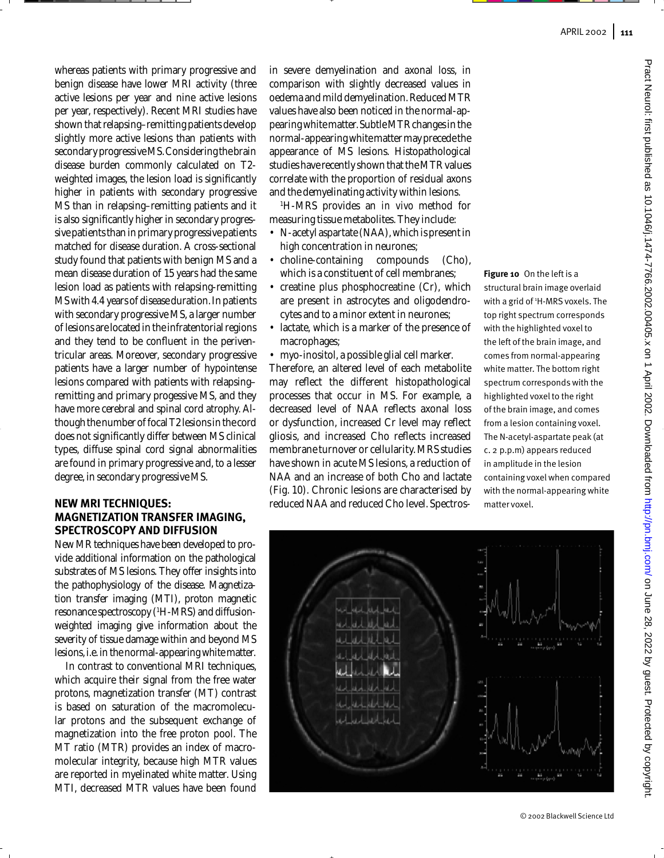© 2002 Blackwell Science Ltd

 $\frac{1}{1-\alpha}$ 

Pract Neurol: first published as 10.1046/j.1474-7766.2002.00405.x on 1 April 2002. Downloaded from http://pn.bmj.com/ on June 28, 2022 by guest. Protected by

whereas patients with primary progressive and benign disease have lower MRI activity (three active lesions per year and nine active lesions per year, respectively). Recent MRI studies have shown that relapsing–remitting patients develop slightly more active lesions than patients with secondary progressive MS. Considering the brain disease burden commonly calculated on T2 weighted images, the lesion load is significantly higher in patients with secondary progressive MS than in relapsing–remitting patients and it is also significantly higher in secondary progressive patients than in primary progressive patients matched for disease duration. A cross-sectional study found that patients with benign MS and a mean disease duration of 15 years had the same lesion load as patients with relapsing-remitting MS with 4.4 years of disease duration. In patients with secondary progressive MS, a larger number of lesions are located in the infratentorial regions and they tend to be confluent in the periventricular areas. Moreover, secondary progressive patients have a larger number of hypointense lesions compared with patients with relapsing– remitting and primary progessive MS, and they have more cerebral and spinal cord atrophy. Although the number of focal T2 lesions in the cord does not significantly differ between MS clinical types, diffuse spinal cord signal abnormalities are found in primary progressive and, to a lesser degree, in secondary progressive MS.

# **NEW MRI TECHNIQUES: MAGNETIZATION TRANSFER IMAGING, SPECTROSCOPY AND DIFFUSION**

New MR techniques have been developed to provide additional information on the pathological substrates of MS lesions. They offer insights into the pathophysiology of the disease. Magnetization transfer imaging (MTI), proton magnetic resonance spectroscopy (1 H-MRS) and diffusionweighted imaging give information about the severity of tissue damage within and beyond MS lesions, i.e. in the normal -appearing white matter.

In contrast to conventional MRI techniques, which acquire their signal from the free water protons, magnetization transfer (MT) contrast is based on saturation of the macromolecular protons and the subsequent exchange of magnetization into the free proton pool. The MT ratio (MTR) provides an index of macro-

molecular integrity, because high MTR values are reported in myelinated white matter. Using MTI, decreased MTR values have been found

 $\frac{\pi}{2}$  .



in severe demyelination and axonal loss, in comparison with slightly decreased values in oedema and mild demyelination. Reduced MTR values have also been noticed in the normal-appearing white matter. Subtle MTR changes in the normal- appearing white matter may precede the appearance of MS lesions. Histopathological studies have recently shown that the MTR values correlate with the proportion of residual axons and the demyelinating activity within lesions.

1 H-MRS provides an *in vivo* method for measuring tissue metabolites. They include:

- N-acetyl aspartate (NAA), which is present in high concentration in neurones;
- choline-containing compounds (Cho), which is a constituent of cell membranes;
- creatine plus phosphocreatine (Cr), which are present in astrocytes and oligodendrocytes and to a minor extent in neurones;
- lactate, which is a marker of the presence of macrophages;
- myo-inositol, a possible glial cell marker.

Therefore, an altered level of each metabolite may reflect the different histopathological processes that occur in MS. For example, a decreased level of NAA reflects axonal loss or dysfunction, increased Cr level may reflect gliosis, and increased Cho reflects increased membrane turnover or cellularity. MRS studies have shown in acute MS lesions, a reduction of NAA and an increase of both Cho and lactate (Fig. 10). Chronic lesions are characterised by reduced NAA and reduced Cho level. Spectros-

**Figure 10** On the left is a structur[al br](http://pn.bmj.com/)ain image overlaid with a grid of 1 H-MRS voxels. The top right spectrum corresponds with the highlighted voxel to the left of the brain image, and comes from normal-appearing white matter. The bottom right spectrum corresponds with the highlighted voxel to the right of the brain image, and comes from a lesion containing voxel. The N-acetyl-aspartate peak (at c. 2 p.p.m) appears reduced in amplitude in the lesion containing voxel when compared with the normal-appearing white matter voxel.